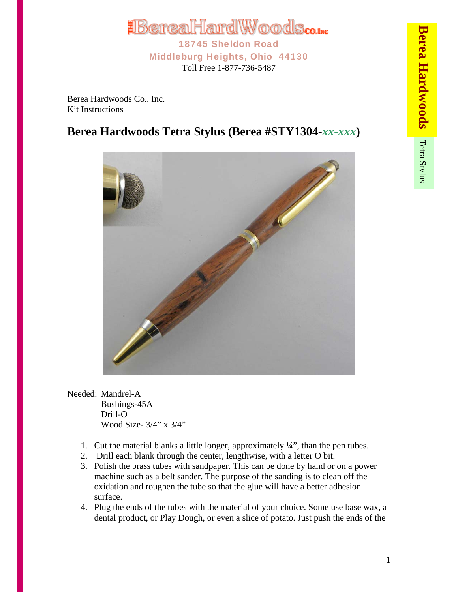

Berea Hardwoods Co., Inc. Kit Instructions

## **Berea Hardwoods Tetra Stylus (Berea #STY1304-***xx-xxx***)**



Needed: Mandrel-A Bushings-45A Drill-O Wood Size- 3/4" x 3/4"

- 1. Cut the material blanks a little longer, approximately  $\frac{1}{4}$ , than the pen tubes.
- 2. Drill each blank through the center, lengthwise, with a letter O bit.
- 3. Polish the brass tubes with sandpaper. This can be done by hand or on a power machine such as a belt sander. The purpose of the sanding is to clean off the oxidation and roughen the tube so that the glue will have a better adhesion surface.
- 4. Plug the ends of the tubes with the material of your choice. Some use base wax, a dental product, or Play Dough, or even a slice of potato. Just push the ends of the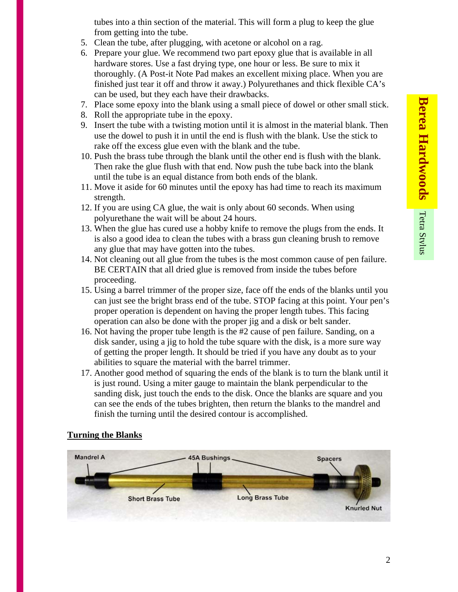tubes into a thin section of the material. This will form a plug to keep the glue from getting into the tube.

- 5. Clean the tube, after plugging, with acetone or alcohol on a rag.
- 6. Prepare your glue. We recommend two part epoxy glue that is available in all hardware stores. Use a fast drying type, one hour or less. Be sure to mix it thoroughly. (A Post-it Note Pad makes an excellent mixing place. When you are finished just tear it off and throw it away.) Polyurethanes and thick flexible CA's can be used, but they each have their drawbacks.
- 7. Place some epoxy into the blank using a small piece of dowel or other small stick.
- 8. Roll the appropriate tube in the epoxy.
- 9. Insert the tube with a twisting motion until it is almost in the material blank. Then use the dowel to push it in until the end is flush with the blank. Use the stick to rake off the excess glue even with the blank and the tube.
- 10. Push the brass tube through the blank until the other end is flush with the blank. Then rake the glue flush with that end. Now push the tube back into the blank until the tube is an equal distance from both ends of the blank.
- 11. Move it aside for 60 minutes until the epoxy has had time to reach its maximum strength.
- 12. If you are using CA glue, the wait is only about 60 seconds. When using polyurethane the wait will be about 24 hours.
- 13. When the glue has cured use a hobby knife to remove the plugs from the ends. It is also a good idea to clean the tubes with a brass gun cleaning brush to remove any glue that may have gotten into the tubes.
- 14. Not cleaning out all glue from the tubes is the most common cause of pen failure. BE CERTAIN that all dried glue is removed from inside the tubes before proceeding.
- 15. Using a barrel trimmer of the proper size, face off the ends of the blanks until you can just see the bright brass end of the tube. STOP facing at this point. Your pen's proper operation is dependent on having the proper length tubes. This facing operation can also be done with the proper jig and a disk or belt sander.
- 16. Not having the proper tube length is the #2 cause of pen failure. Sanding, on a disk sander, using a jig to hold the tube square with the disk, is a more sure way of getting the proper length. It should be tried if you have any doubt as to your abilities to square the material with the barrel trimmer.
- 17. Another good method of squaring the ends of the blank is to turn the blank until it is just round. Using a miter gauge to maintain the blank perpendicular to the sanding disk, just touch the ends to the disk. Once the blanks are square and you can see the ends of the tubes brighten, then return the blanks to the mandrel and finish the turning until the desired contour is accomplished.

## **Turning the Blanks**

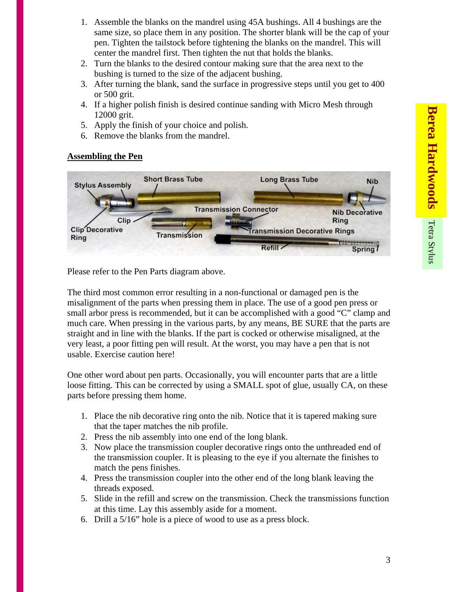- 1. Assemble the blanks on the mandrel using 45A bushings. All 4 bushings are the same size, so place them in any position. The shorter blank will be the cap of your pen. Tighten the tailstock before tightening the blanks on the mandrel. This will center the mandrel first. Then tighten the nut that holds the blanks.
- 2. Turn the blanks to the desired contour making sure that the area next to the bushing is turned to the size of the adjacent bushing.
- 3. After turning the blank, sand the surface in progressive steps until you get to 400 or 500 grit.
- 4. If a higher polish finish is desired continue sanding with Micro Mesh through 12000 grit.
- 5. Apply the finish of your choice and polish.
- 6. Remove the blanks from the mandrel.

## **Assembling the Pen**



Please refer to the Pen Parts diagram above.

The third most common error resulting in a non-functional or damaged pen is the misalignment of the parts when pressing them in place. The use of a good pen press or small arbor press is recommended, but it can be accomplished with a good "C" clamp and much care. When pressing in the various parts, by any means, BE SURE that the parts are straight and in line with the blanks. If the part is cocked or otherwise misaligned, at the very least, a poor fitting pen will result. At the worst, you may have a pen that is not usable. Exercise caution here!

One other word about pen parts. Occasionally, you will encounter parts that are a little loose fitting. This can be corrected by using a SMALL spot of glue, usually CA, on these parts before pressing them home.

- 1. Place the nib decorative ring onto the nib. Notice that it is tapered making sure that the taper matches the nib profile.
- 2. Press the nib assembly into one end of the long blank.
- 3. Now place the transmission coupler decorative rings onto the unthreaded end of the transmission coupler. It is pleasing to the eye if you alternate the finishes to match the pens finishes.
- 4. Press the transmission coupler into the other end of the long blank leaving the threads exposed.
- 5. Slide in the refill and screw on the transmission. Check the transmissions function at this time. Lay this assembly aside for a moment.
- 6. Drill a 5/16" hole is a piece of wood to use as a press block.